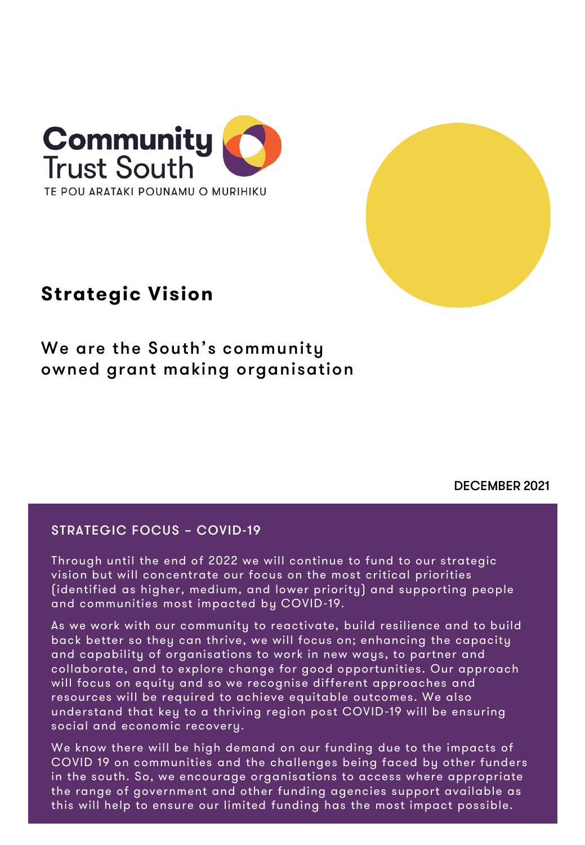

# **Strategic Vision**

We are the South's community owned grant making organisation

DECEMBER 2021

# STRATEGIC FOCUS – COVID-19

Through until the end of 2022 we will continue to fund to our strategic vision but will concentrate our focus on the most critical priorities (identified as higher, medium, and lower priority) and supporting people and communities most impacted by COVID-19.

As we work with our community to reactivate, build resilience and to build back better so they can thrive, we will focus on; enhancing the capacity and capability of organisations to work in new ways, to partner and collaborate, and to explore change for good opportunities. Our approach will focus on equity and so we recognise different approaches and resources will be required to achieve equitable outcomes. We also understand that key to a thriving region post COVID-19 will be ensuring social and economic recovery.

We know there will be high demand on our funding due to the impacts of COVID 19 on communities and the challenges being faced by other funders in the south. So, we encourage organisations to access where appropriate the range of government and other funding agencies support available as this will help to ensure our limited funding has the most impact possible.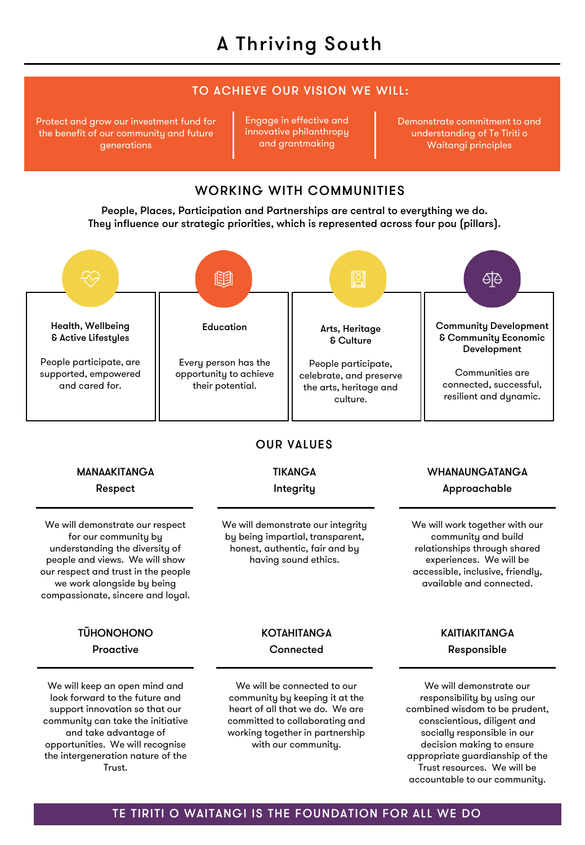# TO ACHIEVE OUR VISION WE WILL:

Protect and grow our investment fund for the benefit of our community and future generations

Engage in effective and innovative philanthropy and grantmaking

Demonstrate commitment to and understanding of Te Tiriti o Waitangi principles

# WORKING WITH COMMUNITIES

People, Places, Participation and Partnerships are central to everything we do. They influence our strategic priorities, which is represented across four pou (pillars).



# TE TIRITI O WAITANGI IS THE FOUNDATION FOR ALL WE DO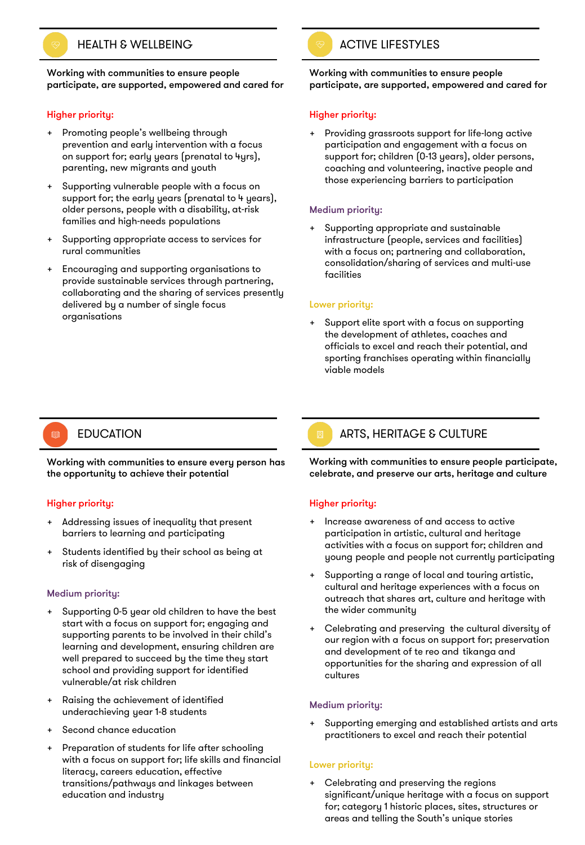

Working with communities to ensure people participate, are supported, empowered and cared for

#### Higher priority:

- + Promoting people's wellbeing through prevention and early intervention with a focus on support for; early years (prenatal to 4yrs), parenting, new migrants and youth
- Supporting vulnerable people with a focus on support for; the early years (prenatal to 4 years), older persons, people with a disability, at-risk families and high-needs populations
- Supporting appropriate access to services for rural communities
- + Encouraging and supporting organisations to provide sustainable services through partnering, collaborating and the sharing of services presently delivered by a number of single focus organisations

#### Working with communities to ensure people participate, are supported, empowered and cared for

#### Higher priority:

Providing grassroots support for life-long active participation and engagement with a focus on support for; children (0-13 years), older persons, coaching and volunteering, inactive people and those experiencing barriers to participation

#### Medium priority:

Supporting appropriate and sustainable infrastructure (people, services and facilities) with a focus on; partnering and collaboration, consolidation/sharing of services and multi-use facilities

#### Lower priority:

Support elite sport with a focus on supporting the development of athletes, coaches and officials to excel and reach their potential, and sporting franchises operating within financially viable models

# 0

Working with communities to ensure every person has the opportunity to achieve their potential

#### Higher priority:

- Addressing issues of inequality that present barriers to learning and participating
- Students identified by their school as being at risk of disengaging

#### Medium priority:

- Supporting 0-5 year old children to have the best start with a focus on support for; engaging and supporting parents to be involved in their child's learning and development, ensuring children are well prepared to succeed by the time they start school and providing support for identified vulnerable/at risk children
- Raising the achievement of identified underachieving year 1-8 students
- Second chance education
- Preparation of students for life after schooling with a focus on support for; life skills and financial literacy, careers education, effective transitions/pathways and linkages between education and industry

# EDUCATION ARTS, HERITAGE & CULTURE

Working with communities to ensure people participate, celebrate, and preserve our arts, heritage and culture

#### Higher priority:

- Increase awareness of and access to active participation in artistic, cultural and heritage activities with a focus on support for; children and young people and people not currently participating
- Supporting a range of local and touring artistic, cultural and heritage experiences with a focus on outreach that shares art, culture and heritage with the wider community
- Celebrating and preserving the cultural diversity of our region with a focus on support for; preservation and development of te reo and tikanga and opportunities for the sharing and expression of all cultures

#### Medium priority:

Supporting emerging and established artists and arts practitioners to excel and reach their potential

#### Lower priority:

Celebrating and preserving the regions significant/unique heritage with a focus on support for; category 1 historic places, sites, structures or areas and telling the South's unique stories